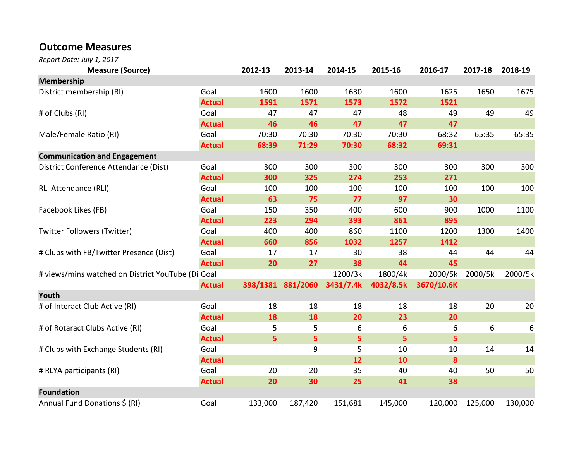## Outcome Measures

Report Date: July 1, 2017

| <b>Measure (Source)</b>                           |               | 2012-13 | 2013-14           | 2014-15   | 2015-16   | 2016-17    | 2017-18 | 2018-19 |
|---------------------------------------------------|---------------|---------|-------------------|-----------|-----------|------------|---------|---------|
| Membership                                        |               |         |                   |           |           |            |         |         |
| District membership (RI)                          | Goal          | 1600    | 1600              | 1630      | 1600      | 1625       | 1650    | 1675    |
|                                                   | <b>Actual</b> | 1591    | 1571              | 1573      | 1572      | 1521       |         |         |
| # of Clubs (RI)                                   | Goal          | 47      | 47                | 47        | 48        | 49         | 49      | 49      |
|                                                   | <b>Actual</b> | 46      | 46                | 47        | 47        | 47         |         |         |
| Male/Female Ratio (RI)                            | Goal          | 70:30   | 70:30             | 70:30     | 70:30     | 68:32      | 65:35   | 65:35   |
|                                                   | <b>Actual</b> | 68:39   | 71:29             | 70:30     | 68:32     | 69:31      |         |         |
| <b>Communication and Engagement</b>               |               |         |                   |           |           |            |         |         |
| District Conference Attendance (Dist)             | Goal          | 300     | 300               | 300       | 300       | 300        | 300     | 300     |
|                                                   | <b>Actual</b> | 300     | 325               | 274       | 253       | 271        |         |         |
| <b>RLI Attendance (RLI)</b>                       | Goal          | 100     | 100               | 100       | 100       | 100        | 100     | 100     |
|                                                   | <b>Actual</b> | 63      | 75                | 77        | 97        | 30         |         |         |
| Facebook Likes (FB)                               | Goal          | 150     | 350               | 400       | 600       | 900        | 1000    | 1100    |
|                                                   | <b>Actual</b> | 223     | 294               | 393       | 861       | 895        |         |         |
| <b>Twitter Followers (Twitter)</b>                | Goal          | 400     | 400               | 860       | 1100      | 1200       | 1300    | 1400    |
|                                                   | <b>Actual</b> | 660     | 856               | 1032      | 1257      | 1412       |         |         |
| # Clubs with FB/Twitter Presence (Dist)           | Goal          | 17      | 17                | 30        | 38        | 44         | 44      | 44      |
|                                                   | <b>Actual</b> | 20      | 27                | 38        | 44        | 45         |         |         |
| # views/mins watched on District YouTube (Di Goal |               |         |                   | 1200/3k   | 1800/4k   | 2000/5k    | 2000/5k | 2000/5k |
|                                                   | <b>Actual</b> |         | 398/1381 881/2060 | 3431/7.4k | 4032/8.5k | 3670/10.6K |         |         |
| Youth                                             |               |         |                   |           |           |            |         |         |
| # of Interact Club Active (RI)                    | Goal          | 18      | 18                | 18        | 18        | 18         | 20      | 20      |
|                                                   | <b>Actual</b> | 18      | 18                | 20        | 23        | 20         |         |         |
| # of Rotaract Clubs Active (RI)                   | Goal          | 5       | 5                 | 6         | 6         | 6          | 6       | 6       |
|                                                   | <b>Actual</b> | 5       | 5 <sub>5</sub>    | 5         | 5         | 5          |         |         |
| # Clubs with Exchange Students (RI)               | Goal          |         | 9                 | 5         | 10        | 10         | 14      | 14      |
|                                                   | <b>Actual</b> |         |                   | 12        | 10        | 8          |         |         |
| # RLYA participants (RI)                          | Goal          | 20      | 20                | 35        | 40        | 40         | 50      | 50      |
|                                                   | <b>Actual</b> | 20      | 30                | 25        | 41        | 38         |         |         |
| <b>Foundation</b>                                 |               |         |                   |           |           |            |         |         |
| Annual Fund Donations \$ (RI)                     | Goal          | 133,000 | 187,420           | 151,681   | 145,000   | 120,000    | 125,000 | 130,000 |